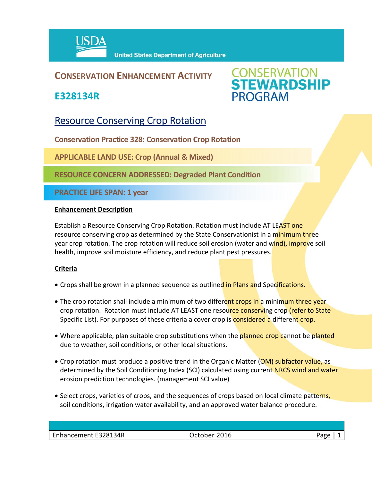

### **CONSERVATION ENHANCEMENT ACTIVITY**

**E328134R**



## Resource Conserving Crop Rotation

**Conservation Practice 328: Conservation Crop Rotation** 

**APPLICABLE LAND USE: Crop (Annual & Mixed)** 

**RESOURCE CONCERN ADDRESSED: Degraded Plant Condition**

**PRACTICE LIFE SPAN: 1 year**

#### **Enhancement Description**

Establish a Resource Conserving Crop Rotation. Rotation must include AT LEAST one resource conserving crop as determined by the State Conservationist in a minimum three year crop rotation. The crop rotation will reduce soil erosion (water and wind), improve soil health, improve soil moisture efficiency, and reduce plant pest pressures.

#### **Criteria**

- Crops shall be grown in a planned sequence as outlined in Plans and Specifications.
- The crop rotation shall include a minimum of two different crops in a minimum three year crop rotation. Rotation must include AT LEAST one resource conserving crop (refer to State Specific List). For purposes of these criteria a cover crop is **considered a** different crop.
- Where applicable, plan suitable crop substitutions when the planned crop cannot be planted due to weather, soil conditions, or other local situations.
- Crop rotation must produce a positive trend in the Organic Matter (OM) subfactor value, as determined by the Soil Conditioning Index (SCI) calculated using current NRCS wind and water erosion prediction technologies. (management SCI value)
- Select crops, varieties of crops, and the sequences of crops based on local climate patterns, soil conditions, irrigation water availability, and an approved water balance procedure.

| Enhancement E328134R<br>2016 |        |
|------------------------------|--------|
|                              | - המבי |